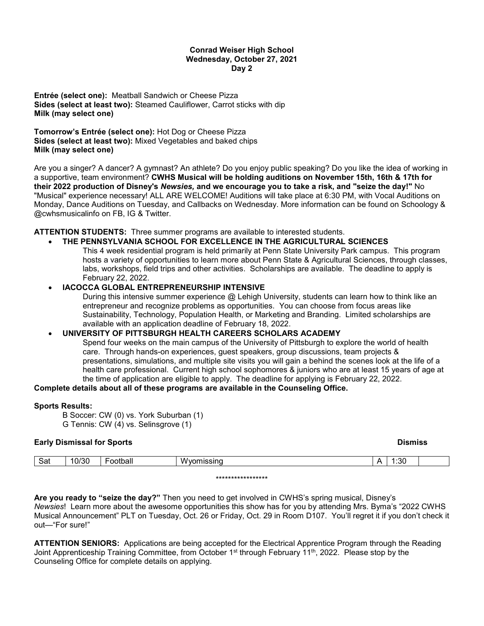#### **Conrad Weiser High School Wednesday, October 27, 2021 Day 2**

**Entrée (select one):** Meatball Sandwich or Cheese Pizza **Sides (select at least two):** Steamed Cauliflower, Carrot sticks with dip **Milk (may select one)**

**Tomorrow's Entrée (select one):** Hot Dog or Cheese Pizza **Sides (select at least two):** Mixed Vegetables and baked chips **Milk (may select one)**

Are you a singer? A dancer? A gymnast? An athlete? Do you enjoy public speaking? Do you like the idea of working in a supportive, team environment? **CWHS Musical will be holding auditions on November 15th, 16th & 17th for their 2022 production of Disney's** *Newsies,* **and we encourage you to take a risk, and "seize the day!"** No "Musical" experience necessary! ALL ARE WELCOME! Auditions will take place at 6:30 PM, with Vocal Auditions on Monday, Dance Auditions on Tuesday, and Callbacks on Wednesday. More information can be found on Schoology & @cwhsmusicalinfo on FB, IG & Twitter.

**ATTENTION STUDENTS:** Three summer programs are available to interested students.

# • **THE PENNSYLVANIA SCHOOL FOR EXCELLENCE IN THE AGRICULTURAL SCIENCES**

This 4 week residential program is held primarily at Penn State University Park campus. This program hosts a variety of opportunities to learn more about Penn State & Agricultural Sciences, through classes, labs, workshops, field trips and other activities. Scholarships are available. The deadline to apply is February 22, 2022.

### • **IACOCCA GLOBAL ENTREPRENEURSHIP INTENSIVE**

During this intensive summer experience @ Lehigh University, students can learn how to think like an entrepreneur and recognize problems as opportunities. You can choose from focus areas like Sustainability, Technology, Population Health, or Marketing and Branding. Limited scholarships are available with an application deadline of February 18, 2022.

#### • **UNIVERSITY OF PITTSBURGH HEALTH CAREERS SCHOLARS ACADEMY**

Spend four weeks on the main campus of the University of Pittsburgh to explore the world of health care. Through hands-on experiences, guest speakers, group discussions, team projects & presentations, simulations, and multiple site visits you will gain a behind the scenes look at the life of a health care professional. Current high school sophomores & juniors who are at least 15 years of age at the time of application are eligible to apply. The deadline for applying is February 22, 2022.

#### **Complete details about all of these programs are available in the Counseling Office.**

#### **Sports Results:**

B Soccer: CW (0) vs. York Suburban (1) G Tennis: CW (4) vs. Selinsgrove (1)

| <b>Early Dismissal for Sports</b> |       |          |            |  | <b>Dismiss</b> |  |  |
|-----------------------------------|-------|----------|------------|--|----------------|--|--|
| Sat                               | 10/30 | Football | Wyomissing |  | 1:30           |  |  |

\*\*\*\*\*\*\*\*\*\*\*\*\*\*\*\*\*

**Are you ready to "seize the day?"** Then you need to get involved in CWHS's spring musical, Disney's *Newsies*! Learn more about the awesome opportunities this show has for you by attending Mrs. Byma's "2022 CWHS Musical Announcement" PLT on Tuesday, Oct. 26 or Friday, Oct. 29 in Room D107. You'll regret it if you don't check it out—"For sure!"

**ATTENTION SENIORS:** Applications are being accepted for the Electrical Apprentice Program through the Reading Joint Apprenticeship Training Committee, from October 1<sup>st</sup> through February 11<sup>th</sup>, 2022. Please stop by the Counseling Office for complete details on applying.